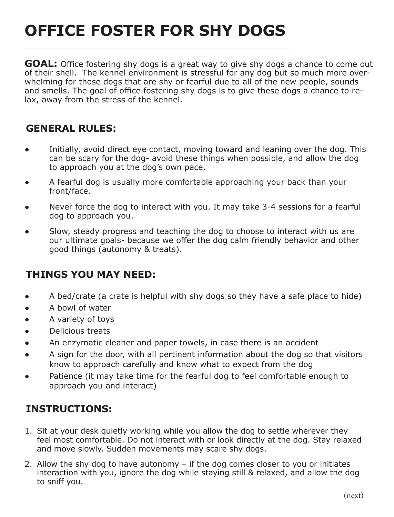## **OFFICE FOSTER FOR SHY DOGS**

**GOAL:** Office fostering shy dogs is a great way to give shy dogs a chance to come out of their shell. The kennel environment is stressful for any dog but so much more overwhelming for those dogs that are shy or fearful due to all of the new people, sounds and smells. The goal of office fostering shy dogs is to give these dogs a chance to relax, away from the stress of the kennel.

## **GENERAL RULES:**

- **•** Initially, avoid direct eye contact, moving toward and leaning over the dog. This can be scary for the dog- avoid these things when possible, and allow the dog to approach you at the dog's own pace.
- ● A fearful dog is usually more comfortable approaching your back than your front/face.
- Never force the dog to interact with you. It may take 3-4 sessions for a fearful dog to approach you.
- Slow, steady progress and teaching the dog to choose to interact with us are our ultimate goals- because we offer the dog calm friendly behavior and other good things (autonomy & treats).

## **THINGS YOU MAY NEED:**

- ● A bed/crate (a crate is helpful with shy dogs so they have a safe place to hide)
- A bowl of water
- A variety of toys
- Delicious treats
- An enzymatic cleaner and paper towels, in case there is an accident
- A sign for the door, with all pertinent information about the dog so that visitors know to approach carefully and know what to expect from the dog
- Patience (it may take time for the fearful dog to feel comfortable enough to approach you and interact)

## **INSTRUCTIONS:**

- 1. Sit at your desk quietly working while you allow the dog to settle wherever they feel most comfortable. Do not interact with or look directly at the dog. Stay relaxed and move slowly. Sudden movements may scare shy dogs.
- 2. Allow the shy dog to have autonomy  $-$  if the dog comes closer to you or initiates interaction with you, ignore the dog while staying still & relaxed, and allow the dog to sniff you.